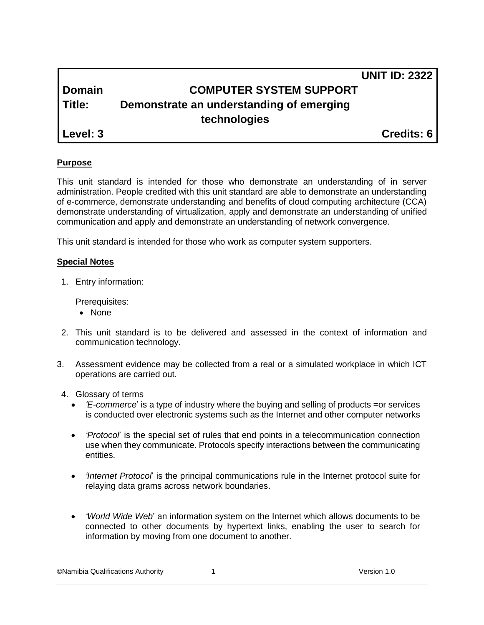# **UNIT ID: 2322 Domain COMPUTER SYSTEM SUPPORT Title: Demonstrate an understanding of emerging technologies Level: 3 Credits: 6**

**Purpose**

This unit standard is intended for those who demonstrate an understanding of in server administration. People credited with this unit standard are able to demonstrate an understanding of e-commerce, demonstrate understanding and benefits of cloud computing architecture (CCA) demonstrate understanding of virtualization, apply and demonstrate an understanding of unified communication and apply and demonstrate an understanding of network convergence.

This unit standard is intended for those who work as computer system supporters.

#### **Special Notes**

1. Entry information:

Prerequisites:

- None
- 2. This unit standard is to be delivered and assessed in the context of information and communication technology.
- 3. Assessment evidence may be collected from a real or a simulated workplace in which ICT operations are carried out.
- 4. Glossary of terms
	- *'E-commerce*' is a type of industry where the buying and selling of products =or services is conducted over electronic systems such as the Internet and other computer networks
	- *'Protocol*' is the special set of rules that end points in a telecommunication connection use when they communicate. Protocols specify interactions between the communicating entities.
	- *'Internet Protocol*' is the principal communications rule in the Internet protocol suite for relaying data grams across network boundaries.
	- *'World Wide Web*' an information system on the Internet which allows documents to be connected to other documents by hypertext links, enabling the user to search for information by moving from one document to another.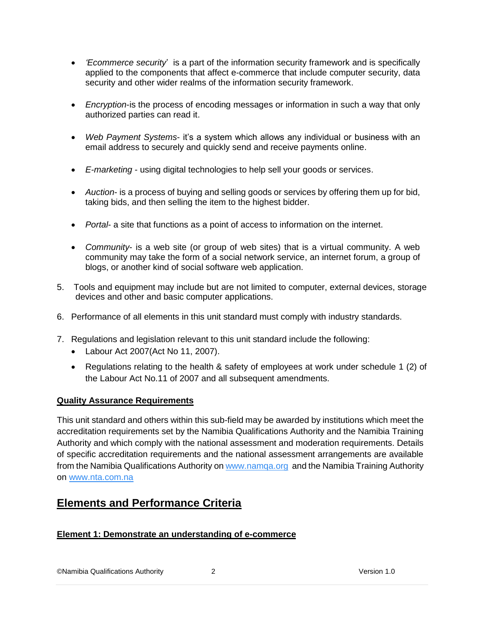- *'Ecommerce security*' is a part of the information security framework and is specifically applied to the components that affect e-commerce that include computer security, data security and other wider realms of the information security framework.
- *Encryption*-is the process of encoding messages or information in such a way that only authorized parties can read it.
- *Web Payment Systems* it's a system which allows any individual or business with an email address to securely and quickly send and receive payments online.
- *E-marketing* using digital technologies to help sell your goods or services.
- *Auction* is a process of buying and selling goods or services by offering them up for bid, taking bids, and then selling the item to the highest bidder.
- *Portal* a site that functions as a point of access to information on the internet.
- *Community* is a web site (or group of web sites) that is a virtual community. A web community may take the form of a social network service, an internet forum, a group of blogs, or another kind of social software web application.
- 5. Tools and equipment may include but are not limited to computer, external devices, storage devices and other and basic computer applications.
- 6. Performance of all elements in this unit standard must comply with industry standards.
- 7. Regulations and legislation relevant to this unit standard include the following:
	- Labour Act 2007(Act No 11, 2007).
	- Regulations relating to the health & safety of employees at work under schedule 1 (2) of the Labour Act No.11 of 2007 and all subsequent amendments.

## **Quality Assurance Requirements**

This unit standard and others within this sub-field may be awarded by institutions which meet the accreditation requirements set by the Namibia Qualifications Authority and the Namibia Training Authority and which comply with the national assessment and moderation requirements. Details of specific accreditation requirements and the national assessment arrangements are available from the Namibia Qualifications Authority o[n www.namqa.org](http://www.namqa.org/) and the Namibia Training Authority on [www.nta.com.na](http://www.nta.com.na/)

## **Elements and Performance Criteria**

## **Element 1: Demonstrate an understanding of e-commerce**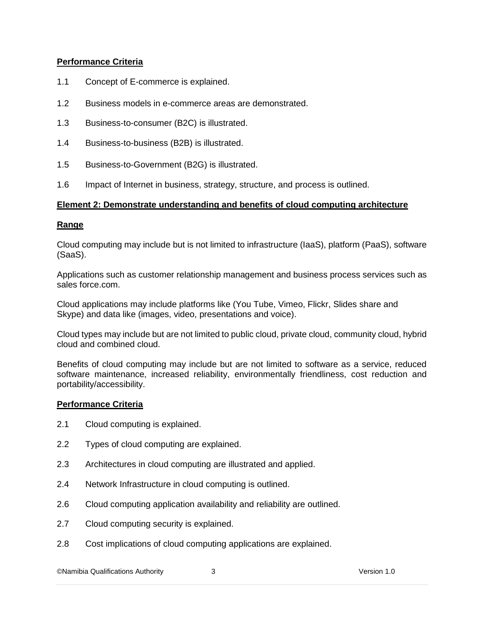## **Performance Criteria**

- 1.1 Concept of E-commerce is explained.
- 1.2 Business models in e-commerce areas are demonstrated.
- 1.3 Business-to-consumer (B2C) is illustrated.
- 1.4 Business-to-business (B2B) is illustrated.
- 1.5 Business-to-Government (B2G) is illustrated.
- 1.6 Impact of Internet in business, strategy, structure, and process is outlined.

## **Element 2: Demonstrate understanding and benefits of cloud computing architecture**

## **Range**

Cloud computing may include but is not limited to infrastructure (IaaS), platform (PaaS), software (SaaS).

Applications such as customer relationship management and business process services such as sales force.com.

Cloud applications may include platforms like (You Tube, Vimeo, Flickr, Slides share and Skype) and data like (images, video, presentations and voice).

Cloud types may include but are not limited to public cloud, private cloud, community cloud, hybrid cloud and combined cloud.

Benefits of cloud computing may include but are not limited to software as a service, reduced software maintenance, increased reliability, environmentally friendliness, cost reduction and portability/accessibility.

#### **Performance Criteria**

- 2.1 Cloud computing is explained.
- 2.2 Types of cloud computing are explained.
- 2.3 Architectures in cloud computing are illustrated and applied.
- 2.4 Network Infrastructure in cloud computing is outlined.
- 2.6 Cloud computing application availability and reliability are outlined.
- 2.7 Cloud computing security is explained.
- 2.8 Cost implications of cloud computing applications are explained.